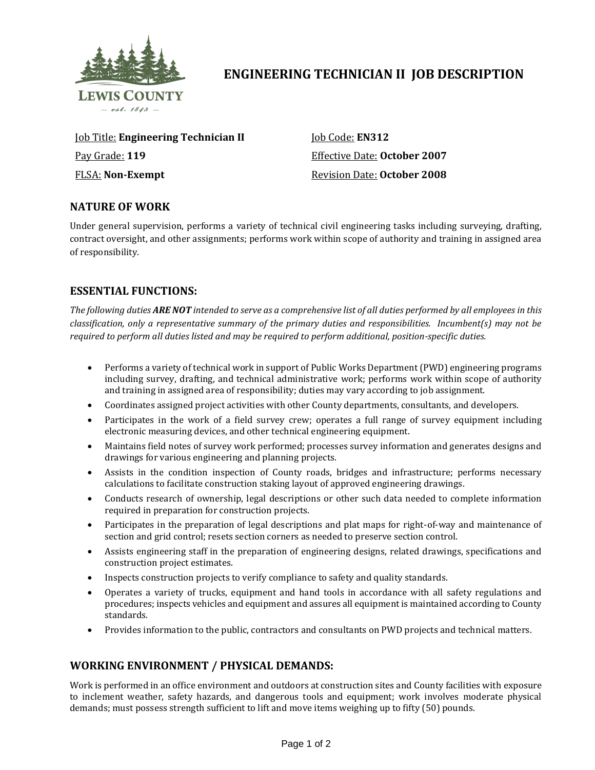

# **ENGINEERING TECHNICIAN II JOB DESCRIPTION**

Job Title: **Engineering Technician II** Pay Grade: **119** FLSA: **Non-Exempt**

Job Code: **EN312** Effective Date: **October 2007** Revision Date: **October 2008**

# **NATURE OF WORK**

Under general supervision, performs a variety of technical civil engineering tasks including surveying, drafting, contract oversight, and other assignments; performs work within scope of authority and training in assigned area of responsibility.

# **ESSENTIAL FUNCTIONS:**

*The following duties ARE NOT intended to serve as a comprehensive list of all duties performed by all employees in this classification, only a representative summary of the primary duties and responsibilities. Incumbent(s) may not be required to perform all duties listed and may be required to perform additional, position-specific duties.*

- Performs a variety of technical work in support of Public Works Department (PWD) engineering programs including survey, drafting, and technical administrative work; performs work within scope of authority and training in assigned area of responsibility; duties may vary according to job assignment.
- Coordinates assigned project activities with other County departments, consultants, and developers.
- Participates in the work of a field survey crew; operates a full range of survey equipment including electronic measuring devices, and other technical engineering equipment.
- Maintains field notes of survey work performed; processes survey information and generates designs and drawings for various engineering and planning projects.
- Assists in the condition inspection of County roads, bridges and infrastructure; performs necessary calculations to facilitate construction staking layout of approved engineering drawings.
- Conducts research of ownership, legal descriptions or other such data needed to complete information required in preparation for construction projects.
- Participates in the preparation of legal descriptions and plat maps for right-of-way and maintenance of section and grid control; resets section corners as needed to preserve section control.
- Assists engineering staff in the preparation of engineering designs, related drawings, specifications and construction project estimates.
- Inspects construction projects to verify compliance to safety and quality standards.
- Operates a variety of trucks, equipment and hand tools in accordance with all safety regulations and procedures; inspects vehicles and equipment and assures all equipment is maintained according to County standards.
- Provides information to the public, contractors and consultants on PWD projects and technical matters.

# **WORKING ENVIRONMENT / PHYSICAL DEMANDS:**

Work is performed in an office environment and outdoors at construction sites and County facilities with exposure to inclement weather, safety hazards, and dangerous tools and equipment; work involves moderate physical demands; must possess strength sufficient to lift and move items weighing up to fifty (50) pounds.